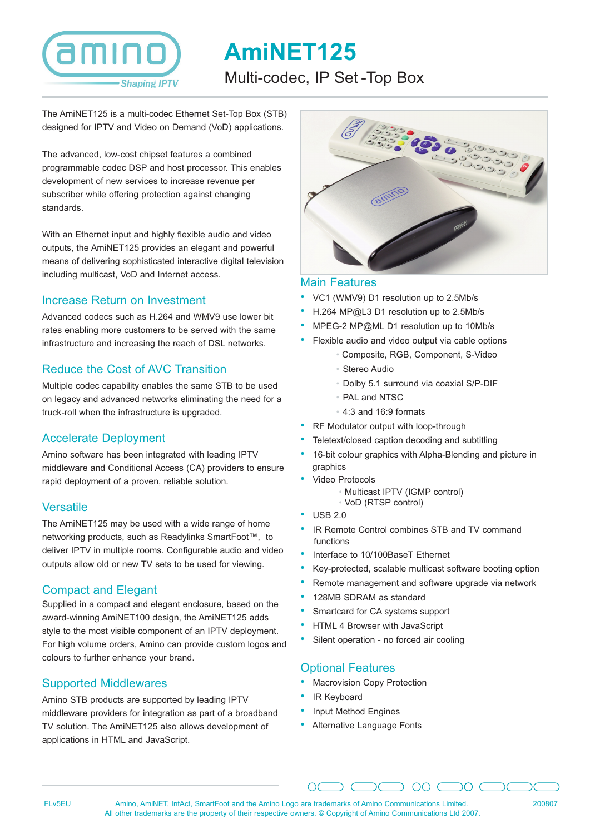# **Shaping IPTV**

# **AmiNET125** Multi-codec, IP Set -Top Box

The AmiNET125 is a multi-codec Ethernet Set-Top Box (STB) designed for IPTV and Video on Demand (VoD) applications.

The advanced, low-cost chipset features a combined programmable codec DSP and host processor. This enables development of new services to increase revenue per subscriber while offering protection against changing standards.

With an Ethernet input and highly flexible audio and video outputs, the AmiNET125 provides an elegant and powerful means of delivering sophisticated interactive digital television including multicast, VoD and Internet access.

#### Increase Return on Investment

Advanced codecs such as H.264 and WMV9 use lower bit rates enabling more customers to be served with the same infrastructure and increasing the reach of DSL networks.

# Reduce the Cost of AVC Transition

Multiple codec capability enables the same STB to be used on legacy and advanced networks eliminating the need for a truck-roll when the infrastructure is upgraded.

# Accelerate Deployment

Amino software has been integrated with leading IPTV middleware and Conditional Access (CA) providers to ensure rapid deployment of a proven, reliable solution.

#### **Versatile**

The AmiNET125 may be used with a wide range of home networking products, such as Readylinks SmartFoot™, to deliver IPTV in multiple rooms. Configurable audio and video outputs allow old or new TV sets to be used for viewing.

#### Compact and Elegant

Supplied in a compact and elegant enclosure, based on the award-winning AmiNET100 design, the AmiNET125 adds style to the most visible component of an IPTV deployment. For high volume orders, Amino can provide custom logos and colours to further enhance your brand.

# Supported Middlewares

Amino STB products are supported by leading IPTV middleware providers for integration as part of a broadband TV solution. The AmiNET125 also allows development of applications in HTML and JavaScript.



#### Main Features

- VC1 (WMV9) D1 resolution up to 2.5Mb/s
- H.264 MP@L3 D1 resolution up to 2.5Mb/s
- MPEG-2 MP@ML D1 resolution up to 10Mb/s
- Flexible audio and video output via cable options
	- Composite, RGB, Component, S-Video
	- Stereo Audio
	- Dolby 5.1 surround via coaxial S/P-DIF
	- PAL and NTSC
	- 4:3 and 16:9 formats
- RF Modulator output with loop-through
- Teletext/closed caption decoding and subtitling
- 16-bit colour graphics with Alpha-Blending and picture in graphics
- Video Protocols
	- Multicast IPTV (IGMP control)
	- VoD (RTSP control)
- USB 2.0
- IR Remote Control combines STB and TV command functions
- Interface to 10/100BaseT Ethernet
- Key-protected, scalable multicast software booting option
- Remote management and software upgrade via network

 $\cap$ 

- 128MB SDRAM as standard
- Smartcard for CA systems support
- HTML 4 Browser with JavaScript
- Silent operation no forced air cooling

# Optional Features

- **Macrovision Copy Protection**
- IR Keyboard
- Input Method Engines
- Alternative Language Fonts

Amino, AmiNET, IntAct, SmartFoot and the Amino Logo are trademarks of Amino Communications Limited. FLv5EU 200807All other trademarks are the property of their respective owners. © Copyright of Amino Communications Ltd 2007.